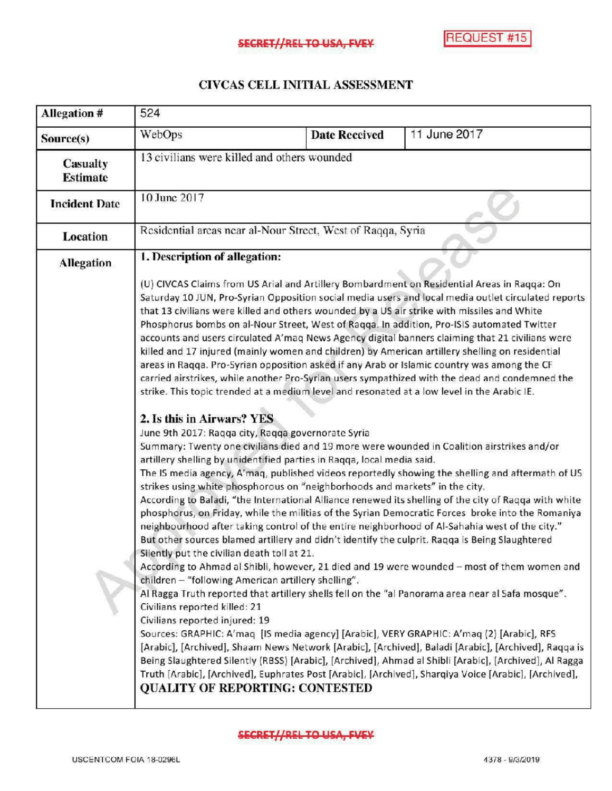## CIVCAS CELL INITIAL ASSESSMENT

| <b>Allegation#</b>          | 524                                                                                                                                                                                                                                                                                                                                                                                                                                                                                           |  |                      |                                                                                                                                                                                                                                                                                                                                                                                                                                                                                                                                                                                                                                                                                                                                                                                                                                                                                                                                                                                                                                                                                                                                                                                                                                                                                                                                                                                                                                                                                                                                                                                                                                                                                                                                                                                                                                                                                                                                                                                                                                                                                                                                                       |  |
|-----------------------------|-----------------------------------------------------------------------------------------------------------------------------------------------------------------------------------------------------------------------------------------------------------------------------------------------------------------------------------------------------------------------------------------------------------------------------------------------------------------------------------------------|--|----------------------|-------------------------------------------------------------------------------------------------------------------------------------------------------------------------------------------------------------------------------------------------------------------------------------------------------------------------------------------------------------------------------------------------------------------------------------------------------------------------------------------------------------------------------------------------------------------------------------------------------------------------------------------------------------------------------------------------------------------------------------------------------------------------------------------------------------------------------------------------------------------------------------------------------------------------------------------------------------------------------------------------------------------------------------------------------------------------------------------------------------------------------------------------------------------------------------------------------------------------------------------------------------------------------------------------------------------------------------------------------------------------------------------------------------------------------------------------------------------------------------------------------------------------------------------------------------------------------------------------------------------------------------------------------------------------------------------------------------------------------------------------------------------------------------------------------------------------------------------------------------------------------------------------------------------------------------------------------------------------------------------------------------------------------------------------------------------------------------------------------------------------------------------------------|--|
| Source(s)                   | WebOps                                                                                                                                                                                                                                                                                                                                                                                                                                                                                        |  | <b>Date Reccived</b> | 11 June 2017                                                                                                                                                                                                                                                                                                                                                                                                                                                                                                                                                                                                                                                                                                                                                                                                                                                                                                                                                                                                                                                                                                                                                                                                                                                                                                                                                                                                                                                                                                                                                                                                                                                                                                                                                                                                                                                                                                                                                                                                                                                                                                                                          |  |
| Casualty<br><b>Estimate</b> | 13 civilians were killed and others wounded                                                                                                                                                                                                                                                                                                                                                                                                                                                   |  |                      |                                                                                                                                                                                                                                                                                                                                                                                                                                                                                                                                                                                                                                                                                                                                                                                                                                                                                                                                                                                                                                                                                                                                                                                                                                                                                                                                                                                                                                                                                                                                                                                                                                                                                                                                                                                                                                                                                                                                                                                                                                                                                                                                                       |  |
| <b>Incident Date</b>        | 10 June 2017                                                                                                                                                                                                                                                                                                                                                                                                                                                                                  |  |                      |                                                                                                                                                                                                                                                                                                                                                                                                                                                                                                                                                                                                                                                                                                                                                                                                                                                                                                                                                                                                                                                                                                                                                                                                                                                                                                                                                                                                                                                                                                                                                                                                                                                                                                                                                                                                                                                                                                                                                                                                                                                                                                                                                       |  |
| Location                    | Residential areas near al-Nour Street, West of Raqqa, Syria                                                                                                                                                                                                                                                                                                                                                                                                                                   |  |                      |                                                                                                                                                                                                                                                                                                                                                                                                                                                                                                                                                                                                                                                                                                                                                                                                                                                                                                                                                                                                                                                                                                                                                                                                                                                                                                                                                                                                                                                                                                                                                                                                                                                                                                                                                                                                                                                                                                                                                                                                                                                                                                                                                       |  |
| <b>Allegation</b>           | 1. Description of allegation:<br>2. Is this in Airwars? YES<br>June 9th 2017: Ragga city, Ragga governorate Syria<br>artillery shelling by unidentified parties in Raqqa, local media said.<br>strikes using white phosphorous on "neighborhoods and markets" in the city.<br>Silently put the civilian death toll at 21.<br>children - "following American artillery shelling".<br>Civilians reported killed: 21<br>Civilians reported injured: 19<br><b>QUALITY OF REPORTING: CONTESTED</b> |  |                      | (U) CIVCAS Claims from US Arial and Artillery Bombardment on Residential Areas in Ragga: On<br>Saturday 10 JUN, Pro-Syrian Opposition social media users and local media outlet circulated reports<br>that 13 civilians were killed and others wounded by a US air strike with missiles and White<br>Phosphorus bombs on al-Nour Street, West of Raqqa. In addition, Pro-ISIS automated Twitter<br>accounts and users circulated A'maq News Agency digital banners claiming that 21 civilians were<br>killed and 17 injured (mainly women and children) by American artillery shelling on residential<br>areas in Raqqa. Pro-Syrian opposition asked if any Arab or Islamic country was among the CF<br>carried airstrikes, while another Pro-Syrian users sympathized with the dead and condemned the<br>strike. This topic trended at a medium level and resonated at a low level in the Arabic IE.<br>Summary: Twenty one civilians died and 19 more were wounded in Coalition airstrikes and/or<br>The IS media agency, A'maq, published videos reportedly showing the shelling and aftermath of US<br>According to Baladi, "the International Alliance renewed its shelling of the city of Raqqa with white<br>phosphorus, on Friday, while the militias of the Syrian Democratic Forces broke into the Romaniya<br>neighbourhood after taking control of the entire neighborhood of Al-Sahahia west of the city."<br>But other sources blamed artillery and didn't identify the culprit. Ragga is Being Slaughtered<br>According to Ahmad al Shibli, however, 21 died and 19 were wounded - most of them women and<br>Al Ragga Truth reported that artillery shells fell on the "al Panorama area near al Safa mosque".<br>Sources: GRAPHIC: A'maq [IS media agency] [Arabic], VERY GRAPHIC: A'maq (2) [Arabic], RFS<br>[Arabic], [Archived], Shaam News Network [Arabic], [Archived], Baladi [Arabic], [Archived], Raqqa is<br>Being Slaughtered Silently (RBSS) [Arabic], [Archived], Ahmad al Shibli [Arabic], [Archived], Al Ragga<br>Truth [Arabic], [Archived], Euphrates Post [Arabic], [Archived], Sharqiya Voice [Arabic], [Archived], |  |

**SECRET//REL TO USA, FVEY**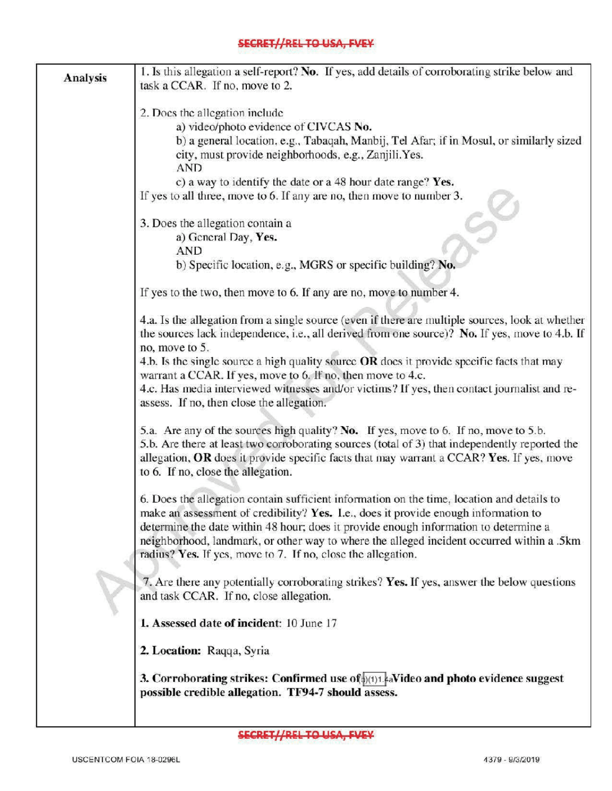## **SECRET//REL TO USA, FVEY**

|                 | 1. Is this allegation a self-report? No. If yes, add details of corroborating strike below and                                                     |  |  |  |  |
|-----------------|----------------------------------------------------------------------------------------------------------------------------------------------------|--|--|--|--|
| <b>Analysis</b> | task a CCAR. If no, move to 2.                                                                                                                     |  |  |  |  |
|                 |                                                                                                                                                    |  |  |  |  |
|                 | 2. Does the allegation include<br>a) video/photo evidence of CIVCAS No.                                                                            |  |  |  |  |
|                 |                                                                                                                                                    |  |  |  |  |
|                 | b) a general location, e.g., Tabaqah, Manbij, Tel Afar; if in Mosul, or similarly sized                                                            |  |  |  |  |
|                 | city, must provide neighborhoods, e.g., Zanjili.Yes.                                                                                               |  |  |  |  |
|                 | <b>AND</b>                                                                                                                                         |  |  |  |  |
|                 | c) a way to identify the date or a 48 hour date range? Yes.                                                                                        |  |  |  |  |
|                 | If yes to all three, move to 6. If any are no, then move to number 3.                                                                              |  |  |  |  |
|                 | 3. Does the allegation contain a                                                                                                                   |  |  |  |  |
|                 | a) General Day, Yes.                                                                                                                               |  |  |  |  |
|                 | <b>AND</b>                                                                                                                                         |  |  |  |  |
|                 | b) Specific location, e.g., MGRS or specific building? No.                                                                                         |  |  |  |  |
|                 | If yes to the two, then move to 6. If any are no, move to number 4.                                                                                |  |  |  |  |
|                 | 4.a. Is the allegation from a single source (even if there are multiple sources, look at whether                                                   |  |  |  |  |
|                 | the sources lack independence, i.e., all derived from one source)? No. If yes, move to 4.b. If                                                     |  |  |  |  |
|                 | no, move to 5.                                                                                                                                     |  |  |  |  |
|                 | 4.b. Is the single source a high quality source OR does it provide specific facts that may                                                         |  |  |  |  |
|                 | warrant a CCAR. If yes, move to 6. If no, then move to 4.c.                                                                                        |  |  |  |  |
|                 | 4.c. Has media interviewed witnesses and/or victims? If yes, then contact journalist and re-                                                       |  |  |  |  |
|                 | assess. If no, then close the allegation.                                                                                                          |  |  |  |  |
|                 | 5.a. Are any of the sources high quality? No. If yes, move to 6. If no, move to 5.b.                                                               |  |  |  |  |
|                 | 5.b. Are there at least two corroborating sources (total of 3) that independently reported the                                                     |  |  |  |  |
|                 | allegation, OR does it provide specific facts that may warrant a CCAR? Yes. If yes, move                                                           |  |  |  |  |
|                 | to 6. If no, close the allegation.                                                                                                                 |  |  |  |  |
|                 | 6. Does the allegation contain sufficient information on the time, location and details to                                                         |  |  |  |  |
|                 | make an assessment of credibility? Yes. I.e., does it provide enough information to                                                                |  |  |  |  |
|                 | determine the date within 48 hour; does it provide enough information to determine a                                                               |  |  |  |  |
|                 | neighborhood, landmark, or other way to where the alleged incident occurred within a .5km                                                          |  |  |  |  |
|                 | radius? Yes. If yes, move to 7. If no, close the allegation.                                                                                       |  |  |  |  |
|                 | 7. Are there any potentially corroborating strikes? Yes. If yes, answer the below questions                                                        |  |  |  |  |
|                 | and task CCAR. If no, close allegation.                                                                                                            |  |  |  |  |
|                 | 1. Assessed date of incident: 10 June 17                                                                                                           |  |  |  |  |
|                 | 2. Location: Raqqa, Syria                                                                                                                          |  |  |  |  |
|                 | 3. Corroborating strikes: Confirmed use $of_{\phi(1)1}$ . Avideo and photo evidence suggest<br>possible credible allegation. TF94-7 should assess. |  |  |  |  |
|                 |                                                                                                                                                    |  |  |  |  |